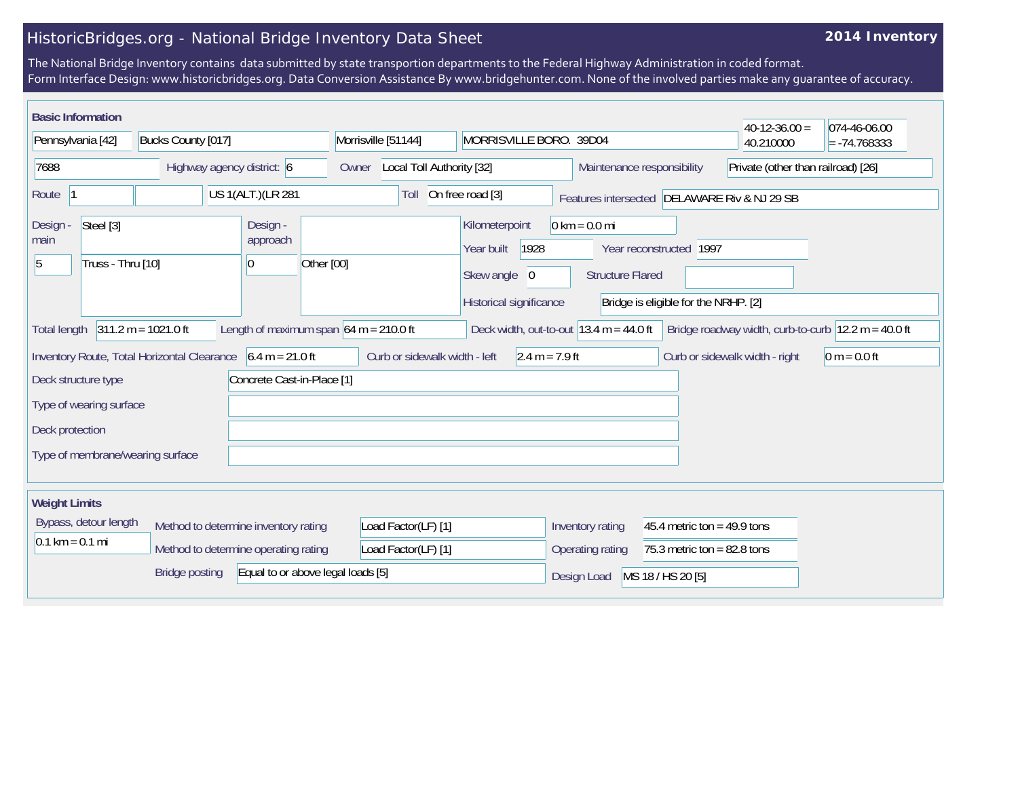## HistoricBridges.org - National Bridge Inventory Data Sheet

## **2014 Inventory**

The National Bridge Inventory contains data submitted by state transportion departments to the Federal Highway Administration in coded format. Form Interface Design: www.historicbridges.org. Data Conversion Assistance By www.bridgehunter.com. None of the involved parties make any guarantee of accuracy.

| <b>Basic Information</b>                                                       |                                |                                                                              |                            |                                          |                                            |                                                                                 |                                                            |                                                                 | $40-12-36.00 =$                                                         | 074-46-06.00   |
|--------------------------------------------------------------------------------|--------------------------------|------------------------------------------------------------------------------|----------------------------|------------------------------------------|--------------------------------------------|---------------------------------------------------------------------------------|------------------------------------------------------------|-----------------------------------------------------------------|-------------------------------------------------------------------------|----------------|
| Pennsylvania [42]                                                              |                                | Bucks County [017]                                                           |                            |                                          | Morrisville [51144]                        |                                                                                 | MORRISVILLE BORO. 39D04                                    |                                                                 | 40.210000                                                               | $= -74.768333$ |
| 7688                                                                           |                                | Highway agency district: 6                                                   |                            | Owner                                    | Local Toll Authority [32]                  |                                                                                 |                                                            | Maintenance responsibility                                      | Private (other than railroad) [26]                                      |                |
| Route<br> 1                                                                    |                                |                                                                              | US 1(ALT.)(LR 281          |                                          | Toll                                       | On free road [3]                                                                | Features intersected DELAWARE Riv & NJ 29 SB               |                                                                 |                                                                         |                |
| Design -<br>main<br>5                                                          | Steel [3]<br>Truss - Thru [10] |                                                                              | Design -<br>approach<br>10 | Other [00]                               |                                            | Kilometerpoint<br>1928<br>Year built<br>Skew angle 0<br>Historical significance | $0 \text{ km} = 0.0 \text{ mi}$<br><b>Structure Flared</b> | Year reconstructed 1997<br>Bridge is eligible for the NRHP. [2] |                                                                         |                |
| Total length                                                                   | $311.2 m = 1021.0 ft$          |                                                                              |                            | Length of maximum span $64$ m = 210.0 ft |                                            |                                                                                 | Deck width, out-to-out $13.4 \text{ m} = 44.0 \text{ ft}$  |                                                                 | Bridge roadway width, curb-to-curb $ 12.2 \text{ m} = 40.0 \text{ ft} $ |                |
| Deck structure type                                                            |                                | Inventory Route, Total Horizontal Clearance 6.4 m = 21.0 ft                  | Concrete Cast-in-Place [1] |                                          | Curb or sidewalk width - left              | $2.4 m = 7.9 ft$                                                                |                                                            |                                                                 | Curb or sidewalk width - right                                          | $0 m = 0.0 ft$ |
| Type of wearing surface<br>Deck protection<br>Type of membrane/wearing surface |                                |                                                                              |                            |                                          |                                            |                                                                                 |                                                            |                                                                 |                                                                         |                |
| <b>Weight Limits</b>                                                           |                                |                                                                              |                            |                                          |                                            |                                                                                 |                                                            |                                                                 |                                                                         |                |
| Bypass, detour length<br>$0.1 \text{ km} = 0.1 \text{ mi}$                     |                                | Method to determine inventory rating<br>Method to determine operating rating |                            |                                          | Load Factor(LF) [1]<br>Load Factor(LF) [1] |                                                                                 | Inventory rating<br><b>Operating rating</b>                | 45.4 metric ton = $49.9$ tons<br>75.3 metric ton = $82.8$ tons  |                                                                         |                |
|                                                                                |                                | <b>Bridge posting</b>                                                        |                            | Equal to or above legal loads [5]        |                                            |                                                                                 | Design Load                                                | MS 18 / HS 20 [5]                                               |                                                                         |                |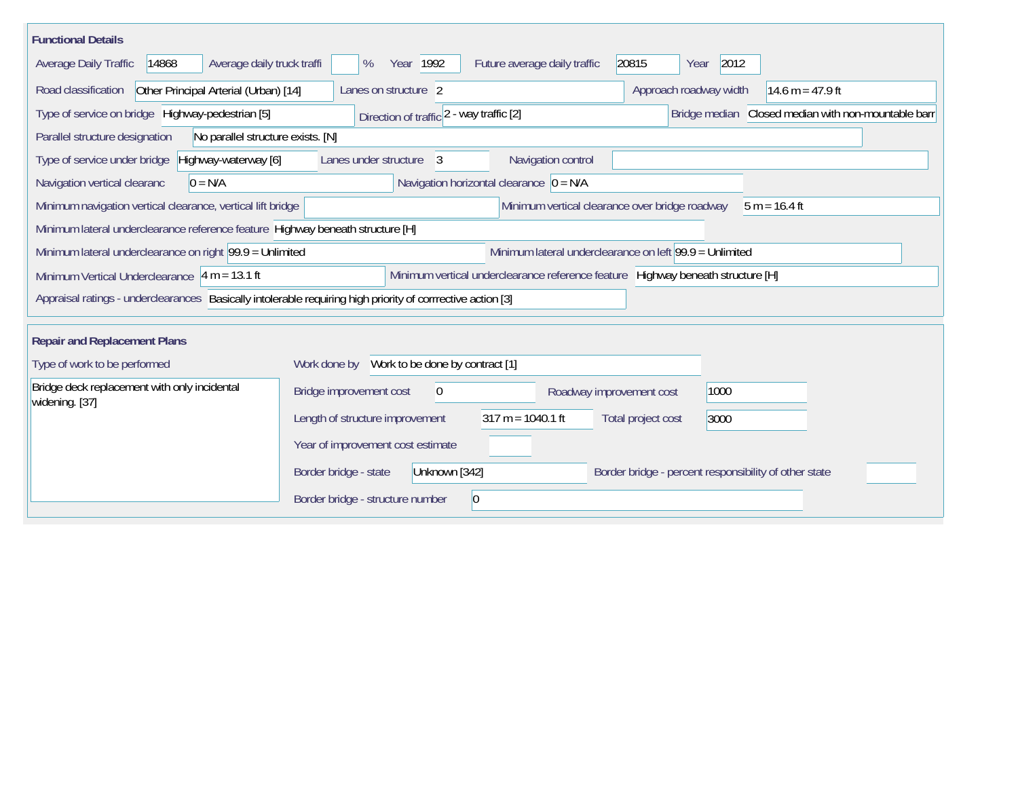| <b>Functional Details</b>                                                                                           |                                                |                                                                                 |                          |                                                       |                                                     |  |  |  |  |
|---------------------------------------------------------------------------------------------------------------------|------------------------------------------------|---------------------------------------------------------------------------------|--------------------------|-------------------------------------------------------|-----------------------------------------------------|--|--|--|--|
| Average daily truck traffi<br>Average Daily Traffic<br>14868                                                        | Year 1992<br>%                                 | Future average daily traffic                                                    | 20815                    | 2012<br>Year                                          |                                                     |  |  |  |  |
| Road classification<br>Other Principal Arterial (Urban) [14]                                                        | Lanes on structure 2                           |                                                                                 |                          | Approach roadway width                                | 14.6 m = $47.9$ ft                                  |  |  |  |  |
| Type of service on bridge Highway-pedestrian [5]                                                                    | Direction of traffic 2 - way traffic [2]       |                                                                                 |                          |                                                       | Bridge median Closed median with non-mountable barr |  |  |  |  |
| No parallel structure exists. [N]<br>Parallel structure designation                                                 |                                                |                                                                                 |                          |                                                       |                                                     |  |  |  |  |
| Highway-waterway [6]<br>Type of service under bridge                                                                | Lanes under structure<br>3                     | Navigation control                                                              |                          |                                                       |                                                     |  |  |  |  |
| Navigation vertical clearanc<br>$0 = N/A$                                                                           |                                                | Navigation horizontal clearance $ 0 = N/A $                                     |                          |                                                       |                                                     |  |  |  |  |
| Minimum navigation vertical clearance, vertical lift bridge                                                         | Minimum vertical clearance over bridge roadway |                                                                                 |                          |                                                       | $5 m = 16.4 ft$                                     |  |  |  |  |
| Minimum lateral underclearance reference feature Highway beneath structure [H]                                      |                                                |                                                                                 |                          |                                                       |                                                     |  |  |  |  |
| Minimum lateral underclearance on right 99.9 = Unlimited<br>Minimum lateral underclearance on left 99.9 = Unlimited |                                                |                                                                                 |                          |                                                       |                                                     |  |  |  |  |
| Minimum Vertical Underclearance $ 4 m = 13.1 ft$                                                                    |                                                | Minimum vertical underclearance reference feature Highway beneath structure [H] |                          |                                                       |                                                     |  |  |  |  |
| Appraisal ratings - underclearances Basically intolerable requiring high priority of corrrective action [3]         |                                                |                                                                                 |                          |                                                       |                                                     |  |  |  |  |
|                                                                                                                     |                                                |                                                                                 |                          |                                                       |                                                     |  |  |  |  |
| <b>Repair and Replacement Plans</b>                                                                                 |                                                |                                                                                 |                          |                                                       |                                                     |  |  |  |  |
| Type of work to be performed                                                                                        | Work done by Work to be done by contract [1]   |                                                                                 |                          |                                                       |                                                     |  |  |  |  |
| Bridge deck replacement with only incidental<br>widening. [37]                                                      | Bridge improvement cost<br>$\mathbf 0$         |                                                                                 | Roadway improvement cost | 1000                                                  |                                                     |  |  |  |  |
|                                                                                                                     | Length of structure improvement                | $317 m = 1040.1 ft$                                                             | Total project cost       | 3000                                                  |                                                     |  |  |  |  |
|                                                                                                                     | Year of improvement cost estimate              |                                                                                 |                          |                                                       |                                                     |  |  |  |  |
|                                                                                                                     | Border bridge - state<br>Unknown [342]         |                                                                                 |                          | Border bridge - percent responsibility of other state |                                                     |  |  |  |  |
|                                                                                                                     | Border bridge - structure number               | $ 0\rangle$                                                                     |                          |                                                       |                                                     |  |  |  |  |